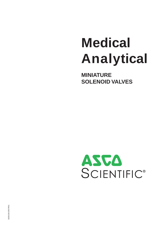# **Medical Analytical**

**MINIATURE SOLENOID VALVES**

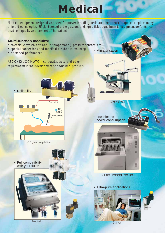## *Medical*

<span id="page-1-0"></span>Medical equipment designed and used for preventive, diagnostic and therapeutic purposes employs many different technologies. Efficient control of the gaseous and liquid fluids contributes to equipment performance, treatment quality and comfort of the patient.

#### **Multi-function modules:**

- solenoid valves (shut-off and/or proportional), pressure sensors, etc.
- special connections and manifold / subbase mounting
- optimised performance

ASCO/JOUCOMATIC incorporates these and other requirements in the development of dedicated products.





*Respirator*

• Miniaturisation

• Low electric power consumption



*Dentist's chair*

*Medical instrument steriliser*

• Ultra-pure applications



*Dialysis*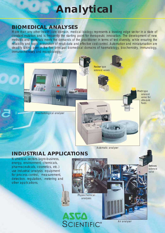### *Analytical*

### <span id="page-2-0"></span>*BIOMEDICAL ANALYSES*

More than any other health care domain, medical biology represents a leading edge sector in a state of constant mutation and is frequently the starting point for therapeutic innovation. The development of new methods and materials meets the demands of the practitioner in terms of test diversity, while ensuring the reliability and rapid acquisition of result data and effective cost control. Automation and miniaturisation are steadily taking over in the five principal biomedical domains of haematology, biochemistry, immunology, immunochemistry and microbiology.

**The PT** 

Rocker type solenoid valves



Pinch type solenoid valve for ultra-pure fluids

*Automatic analyser*

**ALERTARY PR** 

### *INDUSTRIAL APPLICATIONS*

Numerous sectors (agro-business, energy, environment, chemicals, pharmaceuticals, cosmetics, etc.) use industrial analysis equipment for process control, measurement, detection, regulation, metering and other applications.



*Air analyser*

Bellows solenoid valve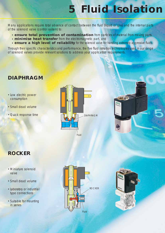### *5 Fluid Isolation*

Many applications require total absence of contact between the fluid (liquid or gas) and the internal parts of the solenoid valve (control system) to:

- **ensure total prevention of contamination** from particles of material from moving parts,
- **· minimise heat transfer** from the electromagnetic part, and
- **ensure a high level of reliability** for the solenoid valve for handling extremely aggressive fluids.

Through their specific characteristics and performance, the five fluid isolation technologies used in our range of solenoid valves provide relevant solutions to address your application requirements.

### *DIAPHRAGM*

- Low electric power consumption
- Small dead volume
- Quick response time





### *ROCKER*

- Miniature solenoid valve
- Small dead volume
- Laboratory or industrial type connections
- Suitable for mounting in series



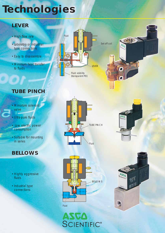### <span id="page-4-0"></span>*Technologies*

### *LEVER*

- High flow rate
- Laboratory or industrial type connections
- Easy to disassemble
- Minimum heat transfer to fluids



### *TUBE PINCH*

- Miniature solenoid valve
- Ultra-pure fluids
- Low electric power **consumption**
- Suitable for mounting in series

### *BELLOWS*

- Highly aggressive fluids
- Industrial type connections





 $472$ 





ASCA<br>SCIENTIFIC®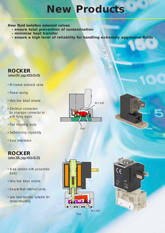### *New Products*

**New fluid isolation solenoid valves:** 

- **ensure total prevention of contamination**
- **minimise heat transfer**
- **· ensure a high level of reliability for handling extremely aggressive fluids**

#### *ROCKER*

(series 067, page X006-01-05)

- Miniature solenoid valve
- Power saving
- Very low dead volume
- •Electrical connection for plug-type connector or with flying leads
- Pad mounting body
- Self-draining capability
- Easy installation

### *ROCKER*

(series 385, page X006-01-25)

- New version with polyamide body
- Very low dead volume
- Easy-to-flush internal cavity
- Low heat transfer, suitable for series mounting









Fluid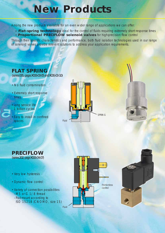### *New Products*

Among the new products available for an even wider range of applications we can offer:

- **Flat-spring technology** ideal for the control of fluids requiring extremely short response times
- **Proportional PRECIFLOW solenoid valves** for high-precision flow control

Through their specific characteristics and performance, both fluid isolation technologies used in our range of solenoid valves provide relevant solutions to address your application requirements.

#### *FLAT SPRING*

(series 065, pages X006-03-05 and X006-03-10)

- No fluid contamination
- Extremely short response times
- Long service life: 1 billion cycles
- Easy to install in confined spaces







- Very low hysteresis
- Dynamic flow control
- Variety of connection possibilities:
- M5 or G 1/8 thread
- Pad-mount according to ISO 15218 (CNOMO, size 15)

Fluid



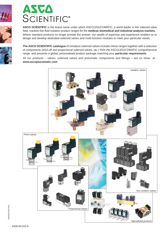



ASCO SCIENTIFIC is the brand name under which ASCO/JOUCOMATIC, a world leader in the solenoid valve field, markets five fluid isolation product ranges for the medical, biomedical and industrial analysis markets. Where standard products no longer provide the answer, our wealth of expertise and experience enables us to design and develop dedicated solenoid valves and multi-function modules to meet your particular needs.



**The ASCO SCIENTIFIC catalogue** of miniature solenoid valves includes these ranges together with a selection of components (shut-off and proportional solenoid valves, etc.) from the ASCO/JOUCOMATIC comprehensive range, and presents a global, personalised product package matching your **particular requirements**.

All our products – valves, solenoid valves and pneumatic components and fittings – are on show at : **www.ascojoucomatic.com**.